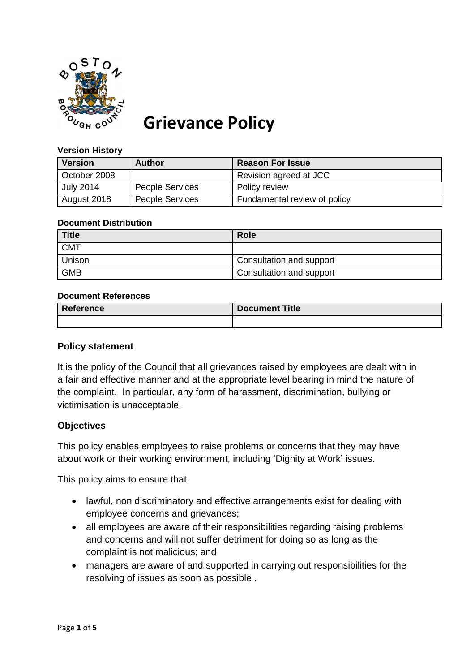

# **Grievance Policy**

#### **Version History**

| <b>Version</b>   | <b>Author</b>          | <b>Reason For Issue</b>      |
|------------------|------------------------|------------------------------|
| October 2008     |                        | Revision agreed at JCC       |
| <b>July 2014</b> | <b>People Services</b> | Policy review                |
| August 2018      | <b>People Services</b> | Fundamental review of policy |

#### **Document Distribution**

| <b>Title</b>  | <b>Role</b>              |
|---------------|--------------------------|
| <b>CMT</b>    |                          |
| <b>Unison</b> | Consultation and support |
| <b>GMB</b>    | Consultation and support |

#### **Document References**

| <b>Reference</b> | <b>Document Title</b> |
|------------------|-----------------------|
|                  |                       |

#### **Policy statement**

It is the policy of the Council that all grievances raised by employees are dealt with in a fair and effective manner and at the appropriate level bearing in mind the nature of the complaint. In particular, any form of harassment, discrimination, bullying or victimisation is unacceptable.

## **Objectives**

This policy enables employees to raise problems or concerns that they may have about work or their working environment, including 'Dignity at Work' issues.

This policy aims to ensure that:

- lawful, non discriminatory and effective arrangements exist for dealing with employee concerns and grievances;
- all employees are aware of their responsibilities regarding raising problems and concerns and will not suffer detriment for doing so as long as the complaint is not malicious; and
- managers are aware of and supported in carrying out responsibilities for the resolving of issues as soon as possible .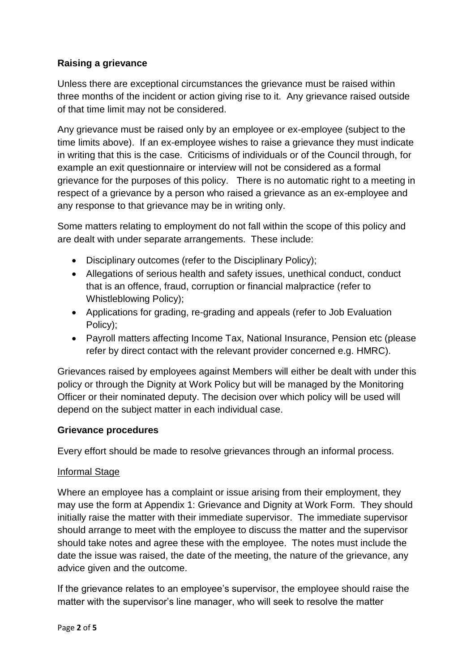# **Raising a grievance**

Unless there are exceptional circumstances the grievance must be raised within three months of the incident or action giving rise to it. Any grievance raised outside of that time limit may not be considered.

Any grievance must be raised only by an employee or ex-employee (subject to the time limits above). If an ex-employee wishes to raise a grievance they must indicate in writing that this is the case. Criticisms of individuals or of the Council through, for example an exit questionnaire or interview will not be considered as a formal grievance for the purposes of this policy. There is no automatic right to a meeting in respect of a grievance by a person who raised a grievance as an ex-employee and any response to that grievance may be in writing only.

Some matters relating to employment do not fall within the scope of this policy and are dealt with under separate arrangements. These include:

- Disciplinary outcomes (refer to the Disciplinary Policy);
- Allegations of serious health and safety issues, unethical conduct, conduct that is an offence, fraud, corruption or financial malpractice (refer to Whistleblowing Policy);
- Applications for grading, re-grading and appeals (refer to Job Evaluation Policy);
- Payroll matters affecting Income Tax, National Insurance, Pension etc (please refer by direct contact with the relevant provider concerned e.g. HMRC).

Grievances raised by employees against Members will either be dealt with under this policy or through the Dignity at Work Policy but will be managed by the Monitoring Officer or their nominated deputy. The decision over which policy will be used will depend on the subject matter in each individual case.

# **Grievance procedures**

Every effort should be made to resolve grievances through an informal process.

## Informal Stage

Where an employee has a complaint or issue arising from their employment, they may use the form at Appendix 1: Grievance and Dignity at Work Form. They should initially raise the matter with their immediate supervisor. The immediate supervisor should arrange to meet with the employee to discuss the matter and the supervisor should take notes and agree these with the employee. The notes must include the date the issue was raised, the date of the meeting, the nature of the grievance, any advice given and the outcome.

If the grievance relates to an employee's supervisor, the employee should raise the matter with the supervisor's line manager, who will seek to resolve the matter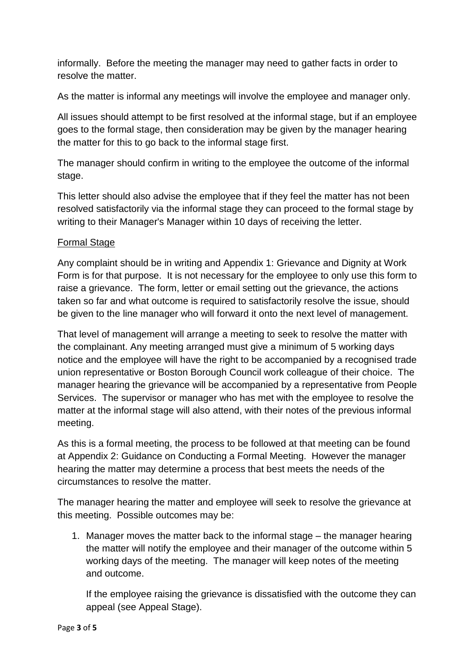informally. Before the meeting the manager may need to gather facts in order to resolve the matter.

As the matter is informal any meetings will involve the employee and manager only.

All issues should attempt to be first resolved at the informal stage, but if an employee goes to the formal stage, then consideration may be given by the manager hearing the matter for this to go back to the informal stage first.

The manager should confirm in writing to the employee the outcome of the informal stage.

This letter should also advise the employee that if they feel the matter has not been resolved satisfactorily via the informal stage they can proceed to the formal stage by writing to their Manager's Manager within 10 days of receiving the letter.

# Formal Stage

Any complaint should be in writing and Appendix 1: Grievance and Dignity at Work Form is for that purpose. It is not necessary for the employee to only use this form to raise a grievance. The form, letter or email setting out the grievance, the actions taken so far and what outcome is required to satisfactorily resolve the issue, should be given to the line manager who will forward it onto the next level of management.

That level of management will arrange a meeting to seek to resolve the matter with the complainant. Any meeting arranged must give a minimum of 5 working days notice and the employee will have the right to be accompanied by a recognised trade union representative or Boston Borough Council work colleague of their choice. The manager hearing the grievance will be accompanied by a representative from People Services. The supervisor or manager who has met with the employee to resolve the matter at the informal stage will also attend, with their notes of the previous informal meeting.

As this is a formal meeting, the process to be followed at that meeting can be found at Appendix 2: Guidance on Conducting a Formal Meeting. However the manager hearing the matter may determine a process that best meets the needs of the circumstances to resolve the matter.

The manager hearing the matter and employee will seek to resolve the grievance at this meeting. Possible outcomes may be:

1. Manager moves the matter back to the informal stage – the manager hearing the matter will notify the employee and their manager of the outcome within 5 working days of the meeting. The manager will keep notes of the meeting and outcome.

If the employee raising the grievance is dissatisfied with the outcome they can appeal (see Appeal Stage).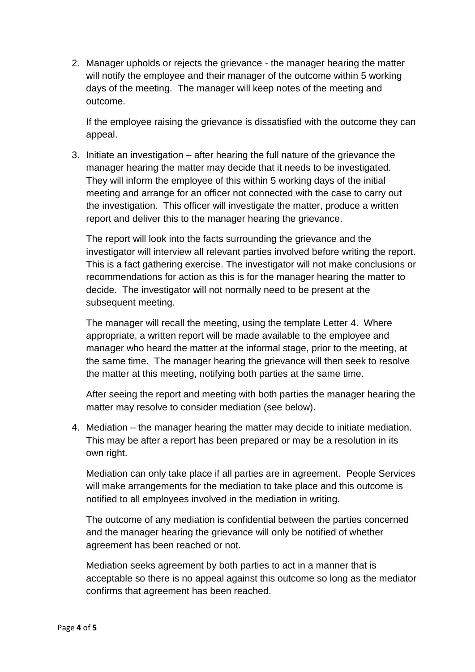2. Manager upholds or rejects the grievance - the manager hearing the matter will notify the employee and their manager of the outcome within 5 working days of the meeting. The manager will keep notes of the meeting and outcome.

If the employee raising the grievance is dissatisfied with the outcome they can appeal.

3. Initiate an investigation – after hearing the full nature of the grievance the manager hearing the matter may decide that it needs to be investigated. They will inform the employee of this within 5 working days of the initial meeting and arrange for an officer not connected with the case to carry out the investigation. This officer will investigate the matter, produce a written report and deliver this to the manager hearing the grievance.

The report will look into the facts surrounding the grievance and the investigator will interview all relevant parties involved before writing the report. This is a fact gathering exercise. The investigator will not make conclusions or recommendations for action as this is for the manager hearing the matter to decide. The investigator will not normally need to be present at the subsequent meeting.

The manager will recall the meeting, using the template Letter 4. Where appropriate, a written report will be made available to the employee and manager who heard the matter at the informal stage, prior to the meeting, at the same time. The manager hearing the grievance will then seek to resolve the matter at this meeting, notifying both parties at the same time.

After seeing the report and meeting with both parties the manager hearing the matter may resolve to consider mediation (see below).

4. Mediation – the manager hearing the matter may decide to initiate mediation. This may be after a report has been prepared or may be a resolution in its own right.

Mediation can only take place if all parties are in agreement. People Services will make arrangements for the mediation to take place and this outcome is notified to all employees involved in the mediation in writing.

The outcome of any mediation is confidential between the parties concerned and the manager hearing the grievance will only be notified of whether agreement has been reached or not.

Mediation seeks agreement by both parties to act in a manner that is acceptable so there is no appeal against this outcome so long as the mediator confirms that agreement has been reached.